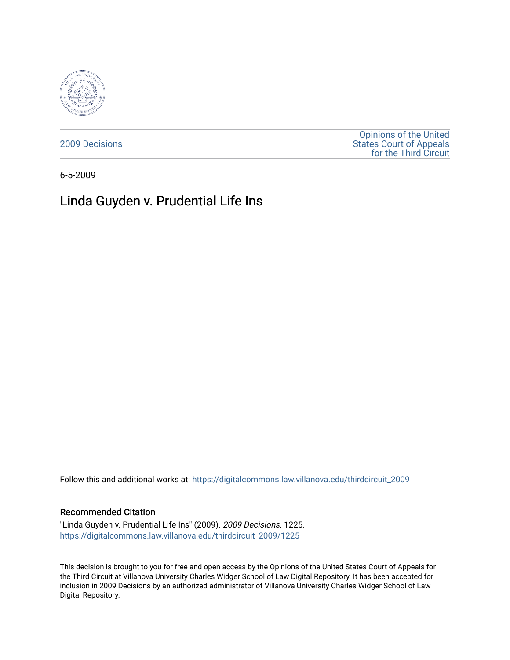

[2009 Decisions](https://digitalcommons.law.villanova.edu/thirdcircuit_2009)

[Opinions of the United](https://digitalcommons.law.villanova.edu/thirdcircuit)  [States Court of Appeals](https://digitalcommons.law.villanova.edu/thirdcircuit)  [for the Third Circuit](https://digitalcommons.law.villanova.edu/thirdcircuit) 

6-5-2009

# Linda Guyden v. Prudential Life Ins

Follow this and additional works at: [https://digitalcommons.law.villanova.edu/thirdcircuit\\_2009](https://digitalcommons.law.villanova.edu/thirdcircuit_2009?utm_source=digitalcommons.law.villanova.edu%2Fthirdcircuit_2009%2F1225&utm_medium=PDF&utm_campaign=PDFCoverPages) 

### Recommended Citation

"Linda Guyden v. Prudential Life Ins" (2009). 2009 Decisions. 1225. [https://digitalcommons.law.villanova.edu/thirdcircuit\\_2009/1225](https://digitalcommons.law.villanova.edu/thirdcircuit_2009/1225?utm_source=digitalcommons.law.villanova.edu%2Fthirdcircuit_2009%2F1225&utm_medium=PDF&utm_campaign=PDFCoverPages) 

This decision is brought to you for free and open access by the Opinions of the United States Court of Appeals for the Third Circuit at Villanova University Charles Widger School of Law Digital Repository. It has been accepted for inclusion in 2009 Decisions by an authorized administrator of Villanova University Charles Widger School of Law Digital Repository.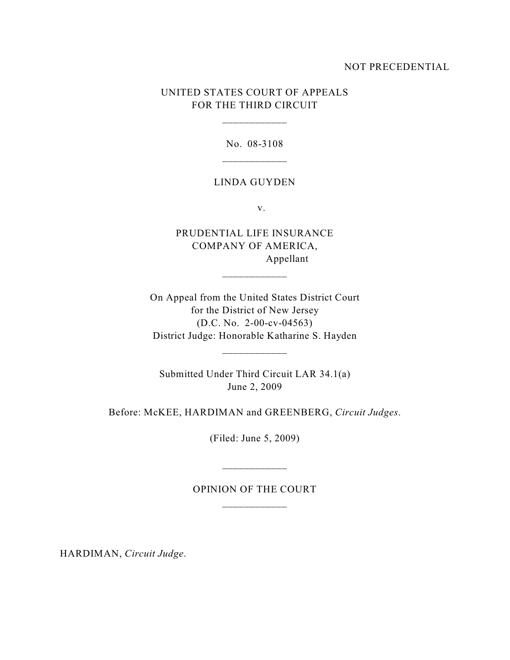## NOT PRECEDENTIAL

# UNITED STATES COURT OF APPEALS FOR THE THIRD CIRCUIT

\_\_\_\_\_\_\_\_\_\_\_\_

No. 08-3108

#### LINDA GUYDEN

v.

PRUDENTIAL LIFE INSURANCE COMPANY OF AMERICA, Appellant

\_\_\_\_\_\_\_\_\_\_\_\_

On Appeal from the United States District Court for the District of New Jersey (D.C. No. 2-00-cv-04563) District Judge: Honorable Katharine S. Hayden

\_\_\_\_\_\_\_\_\_\_\_\_

Submitted Under Third Circuit LAR 34.1(a) June 2, 2009

Before: McKEE, HARDIMAN and GREENBERG, *Circuit Judges*.

(Filed: June 5, 2009)

OPINION OF THE COURT

\_\_\_\_\_\_\_\_\_\_\_\_

HARDIMAN, *Circuit Judge*.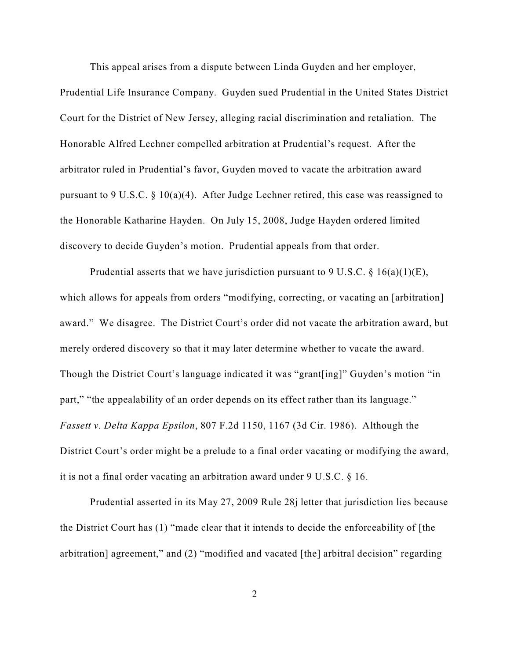This appeal arises from a dispute between Linda Guyden and her employer,

Prudential Life Insurance Company. Guyden sued Prudential in the United States District Court for the District of New Jersey, alleging racial discrimination and retaliation. The Honorable Alfred Lechner compelled arbitration at Prudential's request. After the arbitrator ruled in Prudential's favor, Guyden moved to vacate the arbitration award pursuant to 9 U.S.C. § 10(a)(4). After Judge Lechner retired, this case was reassigned to the Honorable Katharine Hayden. On July 15, 2008, Judge Hayden ordered limited discovery to decide Guyden's motion. Prudential appeals from that order.

Prudential asserts that we have jurisdiction pursuant to 9 U.S.C.  $\S$  16(a)(1)(E), which allows for appeals from orders "modifying, correcting, or vacating an [arbitration] award." We disagree. The District Court's order did not vacate the arbitration award, but merely ordered discovery so that it may later determine whether to vacate the award. Though the District Court's language indicated it was "grant[ing]" Guyden's motion "in part," "the appealability of an order depends on its effect rather than its language." *Fassett v. Delta Kappa Epsilon*, 807 F.2d 1150, 1167 (3d Cir. 1986). Although the District Court's order might be a prelude to a final order vacating or modifying the award, it is not a final order vacating an arbitration award under 9 U.S.C. § 16.

Prudential asserted in its May 27, 2009 Rule 28j letter that jurisdiction lies because the District Court has (1) "made clear that it intends to decide the enforceability of [the arbitration] agreement," and (2) "modified and vacated [the] arbitral decision" regarding